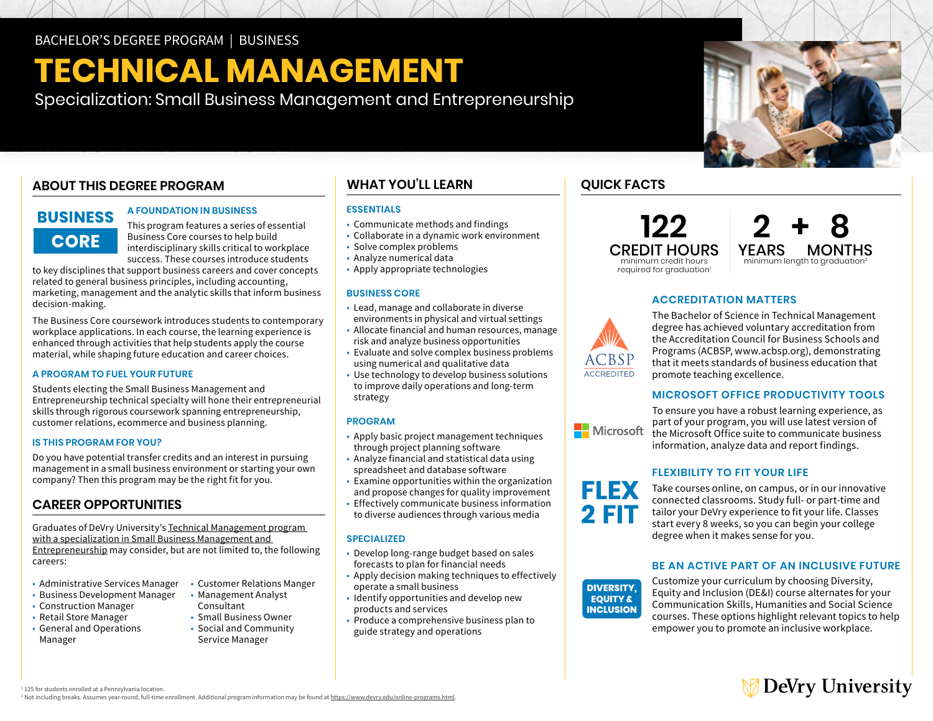# **TECHNICAL MANAGEMENT**

Specialization: Small Business Management and Entrepreneurship

# **ABOUT THIS DEGREE PROGRAM**

# **BUSINESS CORE**

#### **A FOUNDATION IN BUSINESS**

This program features a series of essential Business Core courses to help build interdisciplinary skills critical to workplace success. These courses introduce students

to key disciplines that support business careers and cover concepts related to general business principles, including accounting, marketing, management and the analytic skills that inform business decision-making.

The Business Core coursework introduces students to contemporary workplace applications. In each course, the learning experience is enhanced through activities that help students apply the course material, while shaping future education and career choices.

## **A PROGRAM TO FUEL YOUR FUTURE**

Students electing the Small Business Management and Entrepreneurship technical specialty will hone their entrepreneurial skills through rigorous coursework spanning entrepreneurship, customer relations, ecommerce and business planning.

#### **IS THIS PROGRAM FOR YOU?**

Do you have potential transfer credits and an interest in pursuing management in a small business environment or starting your own company? Then this program may be the right fit for you.

# **CAREER OPPORTUNITIES**

Graduates of DeVry University's [Technical Management program](https://www.devry.edu/online-programs/bachelors-degrees/business/small-business-management-and-entrepreneurship-specialization.html)  with a specialization in Small Business Management and [Entrepreneurship](https://www.devry.edu/online-programs/bachelors-degrees/business/small-business-management-and-entrepreneurship-specialization.html) may consider, but are not limited to, the following careers:

- Administrative Services Manager
- Business Development Manager
- Construction Manager
- Retail Store Manager
- • General and Operations Manager
- Customer Relations Manger • Management Analyst
- Consultant • Small Business Owner • Social and Community
- Service Manager

# **WHAT YOU'LL LEARN**

## **ESSENTIALS**

- Communicate methods and findings
- Collaborate in a dynamic work environment
- Solve complex problems
- Analyze numerical data
- Apply appropriate technologies

#### **BUSINESS CORE**

- • Lead, manage and collaborate in diverse environments in physical and virtual settings
- • Allocate financial and human resources, manage risk and analyze business opportunities
- • Evaluate and solve complex business problems using numerical and qualitative data
- • Use technology to develop business solutions to improve daily operations and long-term strategy

#### **PROGRAM**

- • Apply basic project management techniques through project planning software
- • Analyze financial and statistical data using spreadsheet and database software
- • Examine opportunities within the organization and propose changes for quality improvement
- • Effectively communicate business information to diverse audiences through various media

#### **SPECIALIZED**

- • Develop long-range budget based on sales forecasts to plan for financial needs
- • Apply decision making techniques to effectively operate a small business
- • Identify opportunities and develop new products and services
- • Produce a comprehensive business plan to guide strategy and operations

# **QUICK FACTS**

**122**  CREDIT HOURS minimum credit hours required for graduation<sup>1</sup>

**2 + 8 YEARS MONTHS**<br>minimum length to graduation<sup>2</sup>

**ACCREDITATION MATTERS** 



**Nicrosoft** 

**FLEX** 2 FIT

The Bachelor of Science in Technical Management degree has achieved voluntary accreditation from the Accreditation Council for Business Schools and Programs (ACBSP, [www.acbsp.org\)](http://www.acbsp.org), demonstrating that it meets standards of business education that promote teaching excellence.

# **MICROSOFT OFFICE PRODUCTIVITY TOOLS**

To ensure you have a robust learning experience, as part of your program, you will use latest version of the Microsoft Office suite to communicate business information, analyze data and report findings.

# **FLEXIBILITY TO FIT YOUR LIFE**

**DIVERSITY, EQUITY &** degree when it makes sense for you. Take courses online, on campus, or in our innovative connected classrooms. Study full- or part-time and tailor your DeVry experience to fit your life. Classes start every 8 weeks, so you can begin your college

## **BE AN ACTIVE PART OF AN INCLUSIVE FUTURE**

**DIVERSITY. EQUITY & INCLUSION** 

Customize your curriculum by choosing Diversity, Equity and Inclusion (DE&I) course alternates for your Communication Skills, Humanities and Social Science courses. These options highlight relevant topics to help empower you to promote an inclusive workplace.

# **DeVry University**

<sup>1</sup> 125 for students enrolled at a Pennsylvania location.

<sup>2</sup> Not including breaks. Assumes year-round, full-time enrollment. Additional program information may be found at https://www.devry.edu/online-programs.html